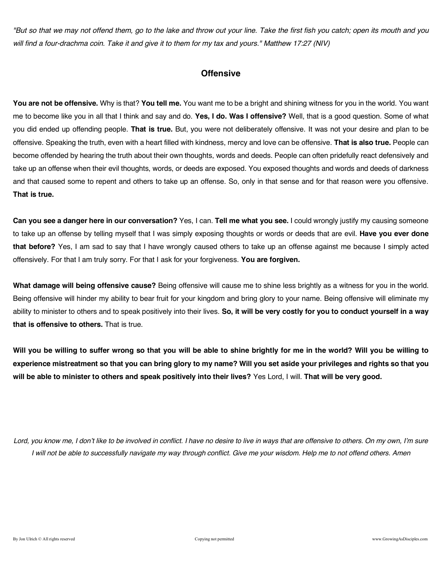*"But so that we may not offend them, go to the lake and throw out your line. Take the first fish you catch; open its mouth and you will find a four-drachma coin. Take it and give it to them for my tax and yours." Matthew 17:27 (NIV)*

### **Offensive**

**You are not be offensive.** Why is that? **You tell me.** You want me to be a bright and shining witness for you in the world. You want me to become like you in all that I think and say and do. **Yes, I do. Was I offensive?** Well, that is a good question. Some of what you did ended up offending people. **That is true.** But, you were not deliberately offensive. It was not your desire and plan to be offensive. Speaking the truth, even with a heart filled with kindness, mercy and love can be offensive. **That is also true.** People can become offended by hearing the truth about their own thoughts, words and deeds. People can often pridefully react defensively and take up an offense when their evil thoughts, words, or deeds are exposed. You exposed thoughts and words and deeds of darkness and that caused some to repent and others to take up an offense. So, only in that sense and for that reason were you offensive. **That is true.**

**Can you see a danger here in our conversation?** Yes, I can. **Tell me what you see.** I could wrongly justify my causing someone to take up an offense by telling myself that I was simply exposing thoughts or words or deeds that are evil. **Have you ever done that before?** Yes, I am sad to say that I have wrongly caused others to take up an offense against me because I simply acted offensively. For that I am truly sorry. For that I ask for your forgiveness. **You are forgiven.**

**What damage will being offensive cause?** Being offensive will cause me to shine less brightly as a witness for you in the world. Being offensive will hinder my ability to bear fruit for your kingdom and bring glory to your name. Being offensive will eliminate my ability to minister to others and to speak positively into their lives. **So, it will be very costly for you to conduct yourself in a way that is offensive to others.** That is true.

**Will you be willing to suffer wrong so that you will be able to shine brightly for me in the world? Will you be willing to experience mistreatment so that you can bring glory to my name? Will you set aside your privileges and rights so that you will be able to minister to others and speak positively into their lives?** Yes Lord, I will. **That will be very good.**

*Lord, you know me, I don't like to be involved in conflict. I have no desire to live in ways that are offensive to others. On my own, I'm sure I will not be able to successfully navigate my way through conflict. Give me your wisdom. Help me to not offend others. Amen*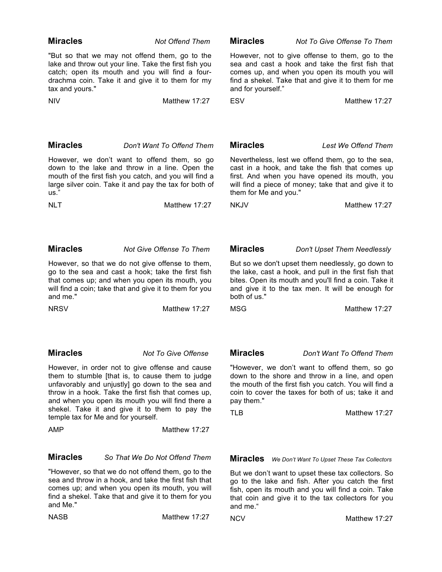| <b>Miracles</b>                                                                                                                                                                                                                                                                                           | <b>Not Offend Them</b>                                                                                                                                                                                         | <b>Miracles</b>                                                                                                                                                                                                                           | Not To Give Offense To Them                                                                                                                                                                                  |
|-----------------------------------------------------------------------------------------------------------------------------------------------------------------------------------------------------------------------------------------------------------------------------------------------------------|----------------------------------------------------------------------------------------------------------------------------------------------------------------------------------------------------------------|-------------------------------------------------------------------------------------------------------------------------------------------------------------------------------------------------------------------------------------------|--------------------------------------------------------------------------------------------------------------------------------------------------------------------------------------------------------------|
| tax and yours."                                                                                                                                                                                                                                                                                           | "But so that we may not offend them, go to the<br>lake and throw out your line. Take the first fish you<br>catch; open its mouth and you will find a four-<br>drachma coin. Take it and give it to them for my | and for yourself."                                                                                                                                                                                                                        | However, not to give offense to them, go to the<br>sea and cast a hook and take the first fish that<br>comes up, and when you open its mouth you will<br>find a shekel. Take that and give it to them for me |
| <b>NIV</b>                                                                                                                                                                                                                                                                                                | Matthew 17:27                                                                                                                                                                                                  | <b>ESV</b>                                                                                                                                                                                                                                | Matthew 17:27                                                                                                                                                                                                |
|                                                                                                                                                                                                                                                                                                           |                                                                                                                                                                                                                |                                                                                                                                                                                                                                           |                                                                                                                                                                                                              |
| <b>Miracles</b>                                                                                                                                                                                                                                                                                           | Don't Want To Offend Them                                                                                                                                                                                      | <b>Miracles</b>                                                                                                                                                                                                                           | Lest We Offend Them                                                                                                                                                                                          |
| However, we don't want to offend them, so go<br>down to the lake and throw in a line. Open the<br>mouth of the first fish you catch, and you will find a<br>large silver coin. Take it and pay the tax for both of<br>us."                                                                                |                                                                                                                                                                                                                | Nevertheless, lest we offend them, go to the sea,<br>cast in a hook, and take the fish that comes up<br>first. And when you have opened its mouth, you<br>will find a piece of money; take that and give it to<br>them for Me and you."   |                                                                                                                                                                                                              |
| <b>NLT</b>                                                                                                                                                                                                                                                                                                | Matthew 17:27                                                                                                                                                                                                  | <b>NKJV</b>                                                                                                                                                                                                                               | Matthew 17:27                                                                                                                                                                                                |
| <b>Miracles</b>                                                                                                                                                                                                                                                                                           |                                                                                                                                                                                                                |                                                                                                                                                                                                                                           |                                                                                                                                                                                                              |
|                                                                                                                                                                                                                                                                                                           | Not Give Offense To Them                                                                                                                                                                                       | <b>Miracles</b>                                                                                                                                                                                                                           | Don't Upset Them Needlessly                                                                                                                                                                                  |
| However, so that we do not give offense to them,<br>go to the sea and cast a hook; take the first fish<br>that comes up; and when you open its mouth, you<br>will find a coin; take that and give it to them for you<br>and me."                                                                          |                                                                                                                                                                                                                | But so we don't upset them needlessly, go down to<br>the lake, cast a hook, and pull in the first fish that<br>bites. Open its mouth and you'll find a coin. Take it<br>and give it to the tax men. It will be enough for<br>both of us." |                                                                                                                                                                                                              |
| <b>NRSV</b>                                                                                                                                                                                                                                                                                               | Matthew 17:27                                                                                                                                                                                                  | <b>MSG</b>                                                                                                                                                                                                                                | Matthew 17:27                                                                                                                                                                                                |
| <b>Miracles</b>                                                                                                                                                                                                                                                                                           | Not To Give Offense                                                                                                                                                                                            | <b>Miracles</b>                                                                                                                                                                                                                           | Don't Want To Offend Them                                                                                                                                                                                    |
|                                                                                                                                                                                                                                                                                                           | However, in order not to give offense and cause                                                                                                                                                                |                                                                                                                                                                                                                                           | "However, we don't want to offend them, so go                                                                                                                                                                |
| them to stumble [that is, to cause them to judge<br>unfavorably and unjustly] go down to the sea and<br>throw in a hook. Take the first fish that comes up,<br>and when you open its mouth you will find there a<br>shekel. Take it and give it to them to pay the<br>temple tax for Me and for yourself. |                                                                                                                                                                                                                | down to the shore and throw in a line, and open<br>the mouth of the first fish you catch. You will find a<br>coin to cover the taxes for both of us; take it and<br>pay them."<br>TLB<br>Matthew 17:27                                    |                                                                                                                                                                                                              |
| <b>AMP</b>                                                                                                                                                                                                                                                                                                | Matthew 17:27                                                                                                                                                                                                  |                                                                                                                                                                                                                                           |                                                                                                                                                                                                              |
|                                                                                                                                                                                                                                                                                                           |                                                                                                                                                                                                                |                                                                                                                                                                                                                                           |                                                                                                                                                                                                              |
| <b>Miracles</b>                                                                                                                                                                                                                                                                                           | So That We Do Not Offend Them                                                                                                                                                                                  | <b>Miracles</b>                                                                                                                                                                                                                           | We Don't Want To Upset These Tax Collectors                                                                                                                                                                  |
| "However, so that we do not offend them, go to the<br>sea and throw in a hook, and take the first fish that<br>comes up; and when you open its mouth, you will<br>find a shekel. Take that and give it to them for you<br>and Me."                                                                        |                                                                                                                                                                                                                | But we don't want to upset these tax collectors. So<br>go to the lake and fish. After you catch the first<br>fish, open its mouth and you will find a coin. Take<br>that coin and give it to the tax collectors for you<br>and me."       |                                                                                                                                                                                                              |
| <b>NASB</b>                                                                                                                                                                                                                                                                                               | Matthew 17:27                                                                                                                                                                                                  | <b>NCV</b>                                                                                                                                                                                                                                | Matthew 17:27                                                                                                                                                                                                |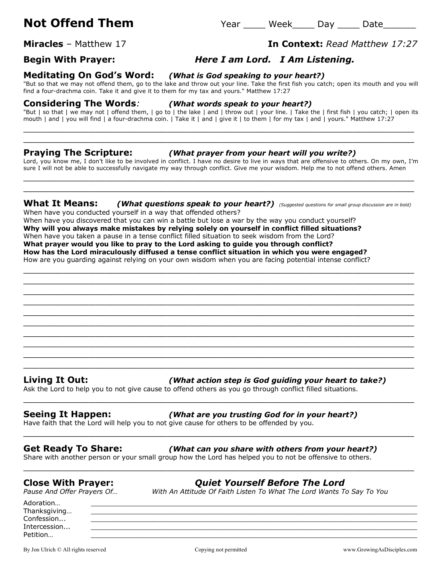# **Not Offend Them** Them Year Week Day Date

## **Begin With Prayer:** *Here I am Lord. I Am Listening.*

### **Meditating On God's Word:** *(What is God speaking to your heart?)*

"But so that we may not offend them, go to the lake and throw out your line. Take the first fish you catch; open its mouth and you will find a four-drachma coin. Take it and give it to them for my tax and yours." Matthew 17:27

### **Considering The Words***: (What words speak to your heart?)*

"But | so that | we may not | offend them, | go to | the lake | and | throw out | your line. | Take the | first fish | you catch; | open its mouth | and | you will find | a four-drachma coin. | Take it | and | give it | to them | for my tax | and | yours." Matthew 17:27 \_\_\_\_\_\_\_\_\_\_\_\_\_\_\_\_\_\_\_\_\_\_\_\_\_\_\_\_\_\_\_\_\_\_\_\_\_\_\_\_\_\_\_\_\_\_\_\_\_\_\_\_\_\_\_\_\_\_\_\_\_\_\_\_\_\_\_\_\_\_\_

\_\_\_\_\_\_\_\_\_\_\_\_\_\_\_\_\_\_\_\_\_\_\_\_\_\_\_\_\_\_\_\_\_\_\_\_\_\_\_\_\_\_\_\_\_\_\_\_\_\_\_\_\_\_\_\_\_\_\_\_\_\_\_\_\_\_\_\_\_\_\_

### **Praying The Scripture:** *(What prayer from your heart will you write?)*

Lord, you know me, I don't like to be involved in conflict. I have no desire to live in ways that are offensive to others. On my own, I'm sure I will not be able to successfully navigate my way through conflict. Give me your wisdom. Help me to not offend others. Amen \_\_\_\_\_\_\_\_\_\_\_\_\_\_\_\_\_\_\_\_\_\_\_\_\_\_\_\_\_\_\_\_\_\_\_\_\_\_\_\_\_\_\_\_\_\_\_\_\_\_\_\_\_\_\_\_\_\_\_\_\_\_\_\_\_\_\_\_\_\_\_

### **What It Means:** *(What questions speak to your heart?) (Suggested questions for small group discussion are in bold)*

\_\_\_\_\_\_\_\_\_\_\_\_\_\_\_\_\_\_\_\_\_\_\_\_\_\_\_\_\_\_\_\_\_\_\_\_\_\_\_\_\_\_\_\_\_\_\_\_\_\_\_\_\_\_\_\_\_\_\_\_\_\_\_\_\_\_\_\_\_\_\_ \_\_\_\_\_\_\_\_\_\_\_\_\_\_\_\_\_\_\_\_\_\_\_\_\_\_\_\_\_\_\_\_\_\_\_\_\_\_\_\_\_\_\_\_\_\_\_\_\_\_\_\_\_\_\_\_\_\_\_\_\_\_\_\_\_\_\_\_\_\_\_ \_\_\_\_\_\_\_\_\_\_\_\_\_\_\_\_\_\_\_\_\_\_\_\_\_\_\_\_\_\_\_\_\_\_\_\_\_\_\_\_\_\_\_\_\_\_\_\_\_\_\_\_\_\_\_\_\_\_\_\_\_\_\_\_\_\_\_\_\_\_\_ \_\_\_\_\_\_\_\_\_\_\_\_\_\_\_\_\_\_\_\_\_\_\_\_\_\_\_\_\_\_\_\_\_\_\_\_\_\_\_\_\_\_\_\_\_\_\_\_\_\_\_\_\_\_\_\_\_\_\_\_\_\_\_\_\_\_\_\_\_\_\_ \_\_\_\_\_\_\_\_\_\_\_\_\_\_\_\_\_\_\_\_\_\_\_\_\_\_\_\_\_\_\_\_\_\_\_\_\_\_\_\_\_\_\_\_\_\_\_\_\_\_\_\_\_\_\_\_\_\_\_\_\_\_\_\_\_\_\_\_\_\_\_ \_\_\_\_\_\_\_\_\_\_\_\_\_\_\_\_\_\_\_\_\_\_\_\_\_\_\_\_\_\_\_\_\_\_\_\_\_\_\_\_\_\_\_\_\_\_\_\_\_\_\_\_\_\_\_\_\_\_\_\_\_\_\_\_\_\_\_\_\_\_\_ \_\_\_\_\_\_\_\_\_\_\_\_\_\_\_\_\_\_\_\_\_\_\_\_\_\_\_\_\_\_\_\_\_\_\_\_\_\_\_\_\_\_\_\_\_\_\_\_\_\_\_\_\_\_\_\_\_\_\_\_\_\_\_\_\_\_\_\_\_\_\_ \_\_\_\_\_\_\_\_\_\_\_\_\_\_\_\_\_\_\_\_\_\_\_\_\_\_\_\_\_\_\_\_\_\_\_\_\_\_\_\_\_\_\_\_\_\_\_\_\_\_\_\_\_\_\_\_\_\_\_\_\_\_\_\_\_\_\_\_\_\_\_

\_\_\_\_\_\_\_\_\_\_\_\_\_\_\_\_\_\_\_\_\_\_\_\_\_\_\_\_\_\_\_\_\_\_\_\_\_\_\_\_\_\_\_\_\_\_\_\_\_\_\_\_\_\_\_\_\_\_\_\_\_\_\_\_\_\_\_\_\_\_\_

\_\_\_\_\_\_\_\_\_\_\_\_\_\_\_\_\_\_\_\_\_\_\_\_\_\_\_\_\_\_\_\_\_\_\_\_\_\_\_\_\_\_\_\_\_\_\_\_\_\_\_\_\_\_\_\_\_\_\_\_\_\_\_\_\_\_\_\_\_\_\_

\_\_\_\_\_\_\_\_\_\_\_\_\_\_\_\_\_\_\_\_\_\_\_\_\_\_\_\_\_\_\_\_\_\_\_\_\_\_\_\_\_\_\_\_\_\_\_\_\_\_\_\_\_\_\_\_\_\_\_\_\_\_\_\_\_\_\_\_\_\_\_

\_\_\_\_\_\_\_\_\_\_\_\_\_\_\_\_\_\_\_\_\_\_\_\_\_\_\_\_\_\_\_\_\_\_\_\_\_\_\_\_\_\_\_\_\_\_\_\_\_\_\_\_\_\_\_\_\_\_\_\_\_\_\_\_\_\_\_\_\_\_\_

When have you conducted yourself in a way that offended others? When have you discovered that you can win a battle but lose a war by the way you conduct yourself? **Why will you always make mistakes by relying solely on yourself in conflict filled situations?** When have you taken a pause in a tense conflict filled situation to seek wisdom from the Lord? **What prayer would you like to pray to the Lord asking to guide you through conflict? How has the Lord miraculously diffused a tense conflict situation in which you were engaged?** How are you guarding against relying on your own wisdom when you are facing potential intense conflict?

\_\_\_\_\_\_\_\_\_\_\_\_\_\_\_\_\_\_\_\_\_\_\_\_\_\_\_\_\_\_\_\_\_\_\_\_\_\_\_\_\_\_\_\_\_\_\_\_\_\_\_\_\_\_\_\_\_\_\_\_\_\_\_\_\_\_\_\_\_\_\_ \_\_\_\_\_\_\_\_\_\_\_\_\_\_\_\_\_\_\_\_\_\_\_\_\_\_\_\_\_\_\_\_\_\_\_\_\_\_\_\_\_\_\_\_\_\_\_\_\_\_\_\_\_\_\_\_\_\_\_\_\_\_\_\_\_\_\_\_\_\_\_

### **Living It Out:** *(What action step is God guiding your heart to take?)*

Ask the Lord to help you to not give cause to offend others as you go through conflict filled situations.

### **Seeing It Happen:** *(What are you trusting God for in your heart?)*

Have faith that the Lord will help you to not give cause for others to be offended by you.

### **Get Ready To Share:** *(What can you share with others from your heart?)*

Share with another person or your small group how the Lord has helped you to not be offensive to others.

### **Close With Prayer:** *Quiet Yourself Before The Lord*

*Pause And Offer Prayers Of… With An Attitude Of Faith Listen To What The Lord Wants To Say To You*

Adoration… \_\_\_\_\_\_\_\_\_\_\_\_\_\_\_\_\_\_\_\_\_\_\_\_\_\_\_\_\_\_\_\_\_\_\_\_\_\_\_\_\_\_\_\_\_\_\_\_\_\_\_\_\_\_\_\_\_\_\_\_\_\_\_\_\_\_\_\_\_\_\_\_\_\_\_\_\_\_\_ Thanksgiving... Confession... \_\_\_\_\_\_\_\_\_\_\_\_\_\_\_\_\_\_\_\_\_\_\_\_\_\_\_\_\_\_\_\_\_\_\_\_\_\_\_\_\_\_\_\_\_\_\_\_\_\_\_\_\_\_\_\_\_\_\_\_\_\_\_\_\_\_\_\_\_\_\_\_\_\_\_\_\_\_\_ Intercession... \_\_\_\_\_\_\_\_\_\_\_\_\_\_\_\_\_\_\_\_\_\_\_\_\_\_\_\_\_\_\_\_\_\_\_\_\_\_\_\_\_\_\_\_\_\_\_\_\_\_\_\_\_\_\_\_\_\_\_\_\_\_\_\_\_\_\_\_\_\_\_\_\_\_\_\_\_\_\_ Petition… \_\_\_\_\_\_\_\_\_\_\_\_\_\_\_\_\_\_\_\_\_\_\_\_\_\_\_\_\_\_\_\_\_\_\_\_\_\_\_\_\_\_\_\_\_\_\_\_\_\_\_\_\_\_\_\_\_\_\_\_\_\_\_\_\_\_\_\_\_\_\_\_\_\_\_\_\_\_\_

# **Miracles** – Matthew 17 **In Context:** *Read Matthew 17:27*